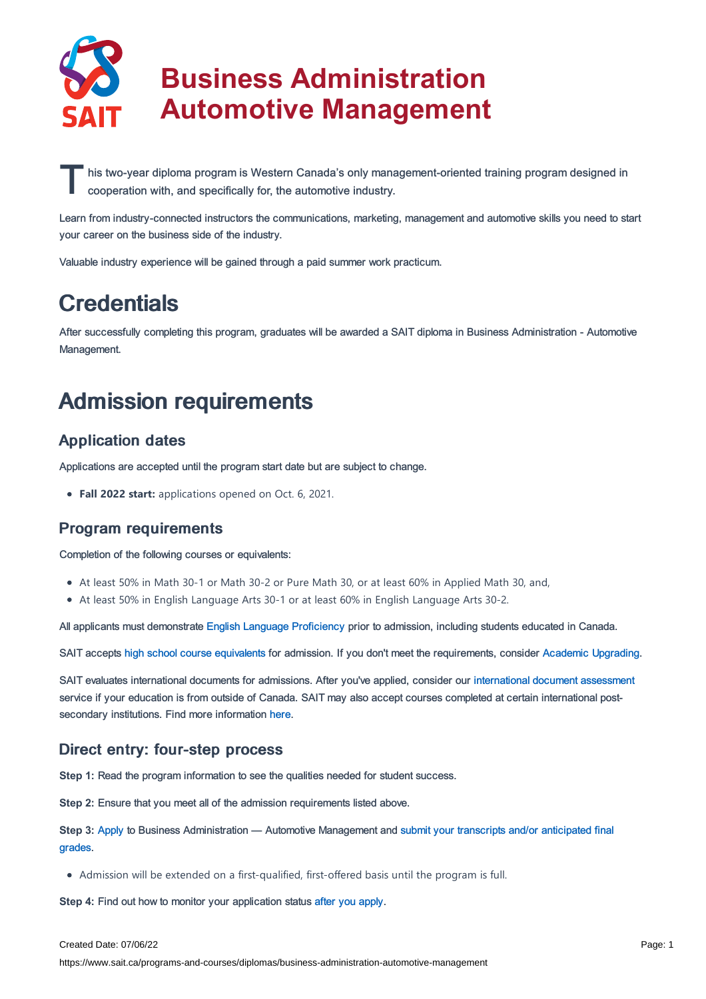

# **Business Administration Automotive Management**

his two-year diploma program is Western Canada's only mana<br>cooperation with, and specifically for, the automotive industry. his two-year diploma program is Western Canada's only management-oriented training program designed in

Learn from industry-connected instructors the communications, marketing, management and automotive skills you need to start your career on the business side of the industry.

Valuable industry experience will be gained through a paid summer work practicum.

### **Credentials**

After successfully completing this program, graduates will be awarded a SAIT diploma in Business Administration - Automotive Management.

### Admission requirements

### Application dates

Applications are accepted until the program start date but are subject to change.

**Fall 2022 start:** applications opened on Oct. 6, 2021.

### Program requirements

Completion of the following courses or equivalents:

- At least 50% in Math 30-1 or Math 30-2 or Pure Math 30, or at least 60% in Applied Math 30, and,
- At least 50% in English Language Arts 30-1 or at least 60% in English Language Arts 30-2.

All applicants must demonstrate English Language [Proficiency](https://www.sait.ca/admissions/before-you-apply/english-proficiency) prior to admission, including students educated in Canada.

SAIT accepts high school course [equivalents](https://www.sait.ca/admissions/before-you-apply/high-school-course-equivalencies) for admission. If you don't meet the requirements, consider Academic [Upgrading.](https://www.sait.ca/programs-and-courses/academic-upgrading)

SAIT evaluates international documents for admissions. After you've applied, consider our [international](https://www.sait.ca/admissions/after-you-apply/international-document-assessment) document assessment service if your education is from outside of Canada. SAIT may also accept courses completed at certain international postsecondary institutions. Find more information [here.](https://www.sait.ca/admissions/after-you-apply/international-institution-academic-partnerships)

#### Direct entry: four-step process

**Step 1:** Read the program information to see the qualities needed for student success.

**Step 2:** Ensure that you meet all of the admission requirements listed above.

**Step 3:** [Apply](https://www.sait.ca/admissions/apply) to Business [Administration](https://www.sait.ca/admissions/after-you-apply/transcripts-and-supporting-documents) — Automotive Management and submit your transcripts and/or anticipated final grades.

Admission will be extended on a first-qualified, first-offered basis until the program is full.

**Step 4:** Find out how to monitor your application status after you [apply](https://www.sait.ca/admissions/after-you-apply/tracking-your-application).

#### Created Date: 07/06/22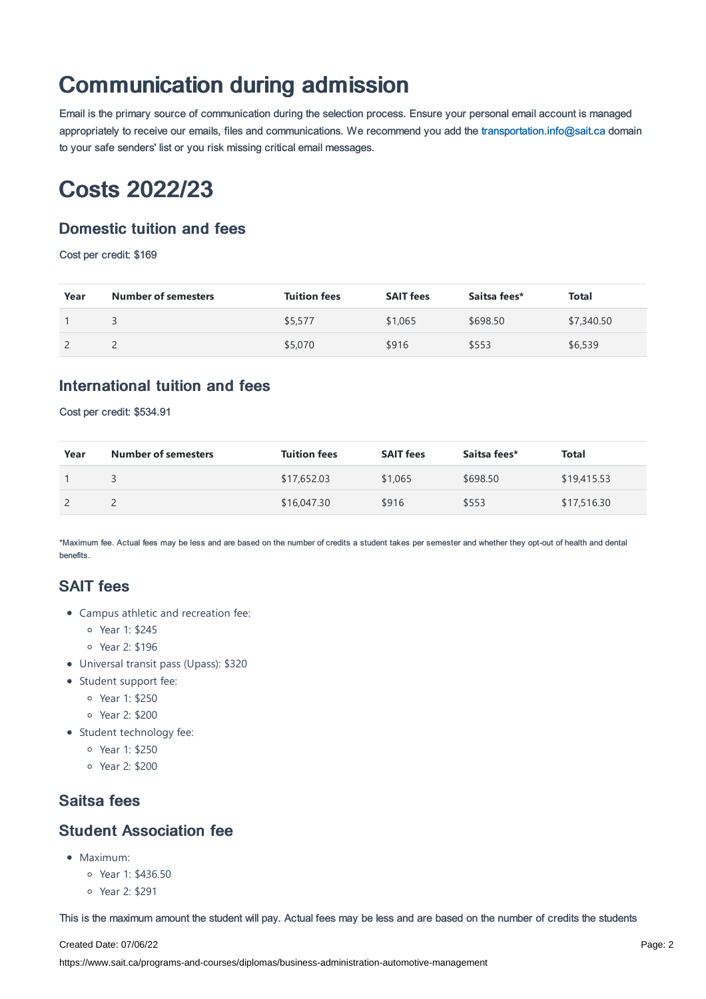## Communication during admission

Email is the primary source of communication during the selection process. Ensure your personal email account is managed appropriately to receive our emails, files and communications. We recommend you add the [transportation.info@sait.ca](https://sait.camailto:transportation.info@sait.ca) domain to your safe senders' list or you risk missing critical email messages.

### Costs 2022/23

### Domestic tuition and fees

Cost per credit: \$169

| Year | <b>Number of semesters</b> | <b>Tuition fees</b> | <b>SAIT fees</b> | Saitsa fees* | <b>Total</b> |
|------|----------------------------|---------------------|------------------|--------------|--------------|
|      |                            | \$5,577             | \$1,065          | \$698.50     | \$7,340.50   |
|      |                            | \$5,070             | \$916            | \$553        | \$6,539      |

### International tuition and fees

Cost per credit: \$534.91

| Year | <b>Number of semesters</b> | <b>Tuition fees</b> | <b>SAIT fees</b> | Saitsa fees* | Total       |
|------|----------------------------|---------------------|------------------|--------------|-------------|
|      |                            | \$17,652.03         | \$1,065          | \$698.50     | \$19,415.53 |
|      |                            | \$16,047.30         | \$916            | \$553        | \$17,516.30 |

\*Maximum fee. Actual fees may be less and are based on the number of credits a student takes per semester and whether they opt-out of health and dental benefits.

### SAIT fees

- Campus athletic and recreation fee:
	- Year 1: \$245
	- Year 2: \$196
- Universal transit pass (Upass): \$320
- Student support fee:
	- Year 1: \$250
	- Year 2: \$200
- Student technology fee:
	- Year 1: \$250
	- Year 2: \$200

### Saitsa fees

#### Student Association fee

- $Maximum$ 
	- Year 1: \$436.50
	- Year 2: \$291

This is the maximum amount the student will pay. Actual fees may be less and are based on the number of credits the students

Created Date: 07/06/22